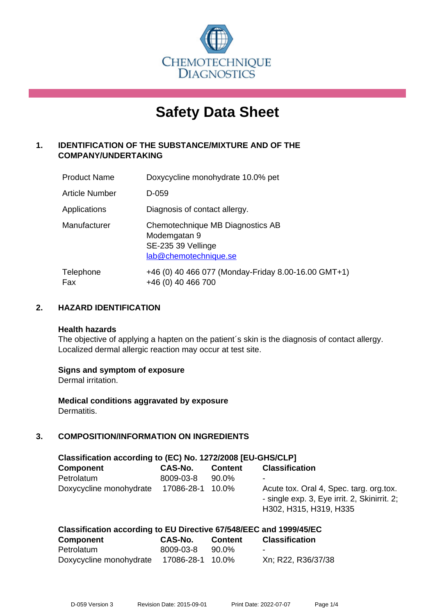

# **Safety Data Sheet**

# **1. IDENTIFICATION OF THE SUBSTANCE/MIXTURE AND OF THE COMPANY/UNDERTAKING**

| <b>Product Name</b> | Doxycycline monohydrate 10.0% pet                                                               |
|---------------------|-------------------------------------------------------------------------------------------------|
| Article Number      | D-059                                                                                           |
| Applications        | Diagnosis of contact allergy.                                                                   |
| Manufacturer        | Chemotechnique MB Diagnostics AB<br>Modemgatan 9<br>SE-235 39 Vellinge<br>lab@chemotechnique.se |
| Telephone<br>Fax    | +46 (0) 40 466 077 (Monday-Friday 8.00-16.00 GMT+1)<br>+46 (0) 40 466 700                       |

## **2. HAZARD IDENTIFICATION**

#### **Health hazards**

The objective of applying a hapten on the patient's skin is the diagnosis of contact allergy. Localized dermal allergic reaction may occur at test site.

## **Signs and symptom of exposure**

Dermal irritation.

**Medical conditions aggravated by exposure** Dermatitis.

# **3. COMPOSITION/INFORMATION ON INGREDIENTS**

| Classification according to (EC) No. 1272/2008 [EU-GHS/CLP] |            |                |                                                                                                                   |  |  |
|-------------------------------------------------------------|------------|----------------|-------------------------------------------------------------------------------------------------------------------|--|--|
| <b>Component</b>                                            | CAS-No.    | <b>Content</b> | <b>Classification</b>                                                                                             |  |  |
| Petrolatum                                                  | 8009-03-8  | 90.0%          | -                                                                                                                 |  |  |
| Doxycycline monohydrate                                     | 17086-28-1 | $10.0\%$       | Acute tox. Oral 4, Spec. targ. org.tox.<br>- single exp. 3, Eye irrit. 2, Skinirrit. 2;<br>H302, H315, H319, H335 |  |  |

| Classification according to EU Directive 67/548/EEC and 1999/45/EC |                  |                |                       |  |  |
|--------------------------------------------------------------------|------------------|----------------|-----------------------|--|--|
| Component                                                          | CAS-No.          | <b>Content</b> | <b>Classification</b> |  |  |
| Petrolatum                                                         | 8009-03-8        | 90.0%          | -                     |  |  |
| Doxycycline monohydrate                                            | 17086-28-1 10.0% |                | Xn; R22, R36/37/38    |  |  |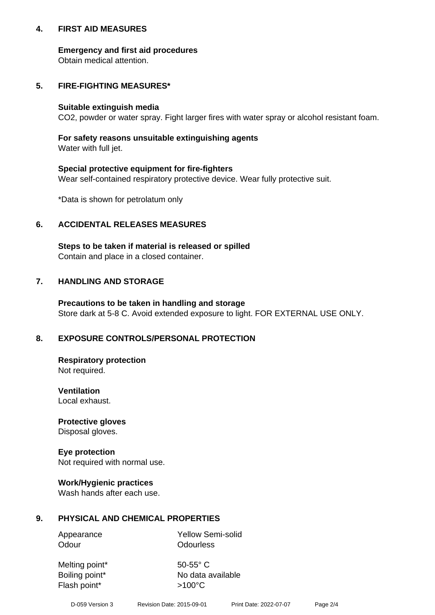## **4. FIRST AID MEASURES**

## **Emergency and first aid procedures**

Obtain medical attention.

# **5. FIRE-FIGHTING MEASURES\***

#### **Suitable extinguish media**

CO2, powder or water spray. Fight larger fires with water spray or alcohol resistant foam.

# **For safety reasons unsuitable extinguishing agents**

Water with full jet.

## **Special protective equipment for fire-fighters**

Wear self-contained respiratory protective device. Wear fully protective suit.

\*Data is shown for petrolatum only

## **6. ACCIDENTAL RELEASES MEASURES**

**Steps to be taken if material is released or spilled** Contain and place in a closed container.

# **7. HANDLING AND STORAGE**

**Precautions to be taken in handling and storage** Store dark at 5-8 C. Avoid extended exposure to light. FOR EXTERNAL USE ONLY.

# **8. EXPOSURE CONTROLS/PERSONAL PROTECTION**

**Respiratory protection** Not required.

**Ventilation** Local exhaust.

**Protective gloves** Disposal gloves.

#### **Eye protection** Not required with normal use.

## **Work/Hygienic practices**

Wash hands after each use.

## **9. PHYSICAL AND CHEMICAL PROPERTIES**

Odour **Odourless** 

Appearance Yellow Semi-solid

Melting point\* 50-55° C Flash point\*  $>100^{\circ}$ C

Boiling point\* No data available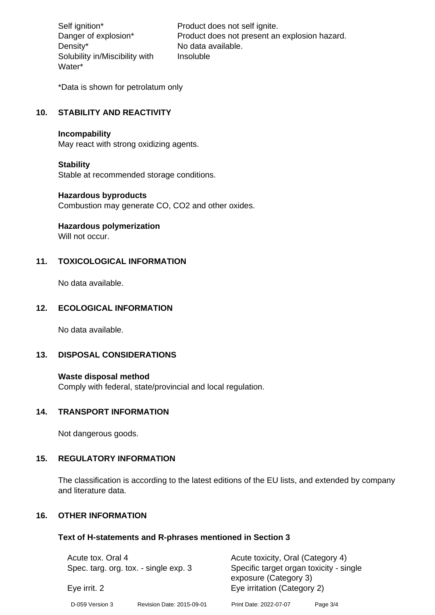Density\* No data available. Solubility in/Miscibility with Water\*

Self ignition\* Product does not self ignite. Danger of explosion\* Product does not present an explosion hazard. Insoluble

\*Data is shown for petrolatum only

# **10. STABILITY AND REACTIVITY**

#### **Incompability**

May react with strong oxidizing agents.

#### **Stability**

Stable at recommended storage conditions.

#### **Hazardous byproducts**

Combustion may generate CO, CO2 and other oxides.

**Hazardous polymerization**

Will not occur.

## **11. TOXICOLOGICAL INFORMATION**

No data available.

## **12. ECOLOGICAL INFORMATION**

No data available.

## **13. DISPOSAL CONSIDERATIONS**

#### **Waste disposal method**

Comply with federal, state/provincial and local regulation.

#### **14. TRANSPORT INFORMATION**

Not dangerous goods.

# **15. REGULATORY INFORMATION**

The classification is according to the latest editions of the EU lists, and extended by company and literature data.

#### **16. OTHER INFORMATION**

#### **Text of H-statements and R-phrases mentioned in Section 3**

| Acute tox. Oral 4<br>Spec. targ. org. tox. - single exp. 3<br>Eye irrit. 2 |                           | Acute toxicity, Oral (Category 4)<br>Specific target organ toxicity - single |          |
|----------------------------------------------------------------------------|---------------------------|------------------------------------------------------------------------------|----------|
|                                                                            |                           | exposure (Category 3)<br>Eye irritation (Category 2)                         |          |
| D-059 Version 3                                                            | Revision Date: 2015-09-01 | Print Date: 2022-07-07                                                       | Page 3/4 |